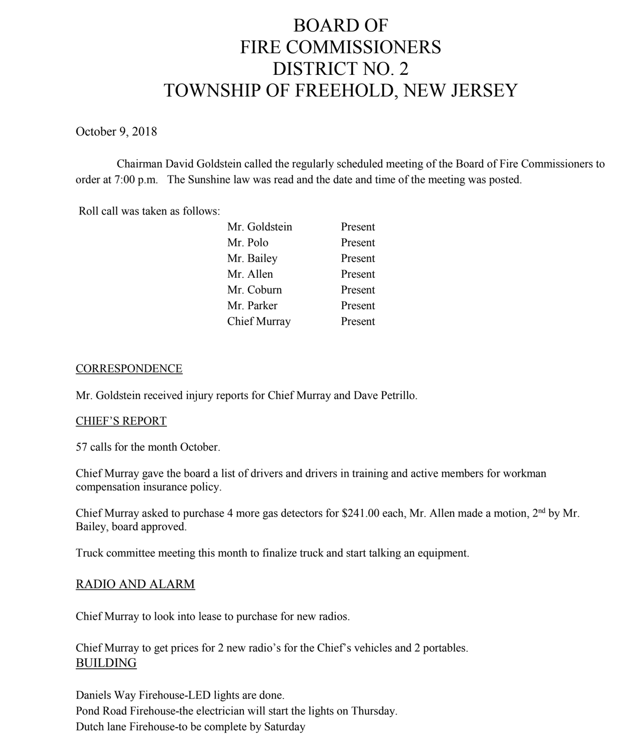# BOARD OF FIRE COMMISSIONERS DISTRICT NO. 2 TOWNSHIP OF FREEHOLD, NEW JERSEY

October 9, 2018

Chairman David Goldstein called the regularly scheduled meeting of the Board of Fire Commissioners to order at 7:00 p.m. The Sunshine law was read and the date and time of the meeting was posted.

Roll call was taken as follows:

| Mr. Goldstein | Present |
|---------------|---------|
| Mr. Polo      | Present |
| Mr. Bailey    | Present |
| Mr. Allen     | Present |
| Mr. Coburn    | Present |
| Mr. Parker    | Present |
| Chief Murray  | Present |
|               |         |

#### **CORRESPONDENCE**

Mr. Goldstein received injury reports for Chief Murray and Dave Petrillo.

#### CHIEF'S REPORT

57 calls for the month October.

Chief Murray gave the board a list of drivers and drivers in training and active members for workman compensation insurance policy.

Chief Murray asked to purchase 4 more gas detectors for \$241.00 each, Mr. Allen made a motion, 2nd by Mr. Bailey, board approved.

Truck committee meeting this month to finalize truck and start talking an equipment.

#### RADIO AND ALARM

Chief Murray to look into lease to purchase for new radios.

Chief Murray to get prices for 2 new radio's for the Chief's vehicles and 2 portables. BUILDING

Daniels Way Firehouse-LED lights are done. Pond Road Firehouse-the electrician will start the lights on Thursday. Dutch lane Firehouse-to be complete by Saturday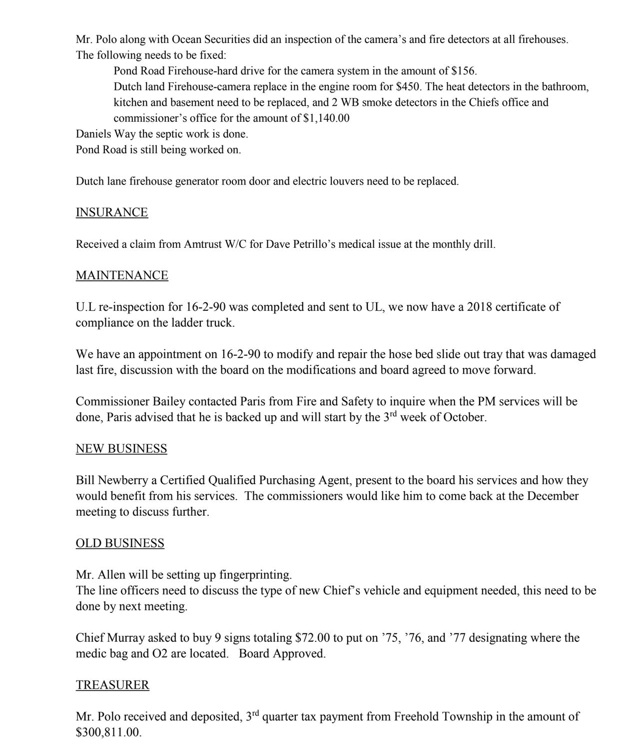Mr. Polo along with Ocean Securities did an inspection of the camera's and fire detectors at all firehouses. The following needs to be fixed:

Pond Road Firehouse-hard drive for the camera system in the amount of \$156. Dutch land Firehouse-camera replace in the engine room for \$450. The heat detectors in the bathroom, kitchen and basement need to be replaced, and 2 WB smoke detectors in the Chiefs office and commissioner's office for the amount of \$1,140.00

Daniels Way the septic work is done.

Pond Road is still being worked on.

Dutch lane firehouse generator room door and electric louvers need to be replaced.

# INSURANCE

Received a claim from Amtrust W/C for Dave Petrillo's medical issue at the monthly drill.

### MAINTENANCE

U.L re-inspection for 16-2-90 was completed and sent to UL, we now have a 2018 certificate of compliance on the ladder truck.

We have an appointment on 16-2-90 to modify and repair the hose bed slide out tray that was damaged last fire, discussion with the board on the modifications and board agreed to move forward.

Commissioner Bailey contacted Paris from Fire and Safety to inquire when the PM services will be done, Paris advised that he is backed up and will start by the 3<sup>rd</sup> week of October.

#### NEW BUSINESS

Bill Newberry a Certified Qualified Purchasing Agent, present to the board his services and how they would benefit from his services. The commissioners would like him to come back at the December meeting to discuss further.

# OLD BUSINESS

Mr. Allen will be setting up fingerprinting.

The line officers need to discuss the type of new Chief's vehicle and equipment needed, this need to be done by next meeting.

Chief Murray asked to buy 9 signs totaling \$72.00 to put on '75, '76, and '77 designating where the medic bag and O2 are located. Board Approved.

# TREASURER

Mr. Polo received and deposited, 3<sup>rd</sup> quarter tax payment from Freehold Township in the amount of \$300,811.00.